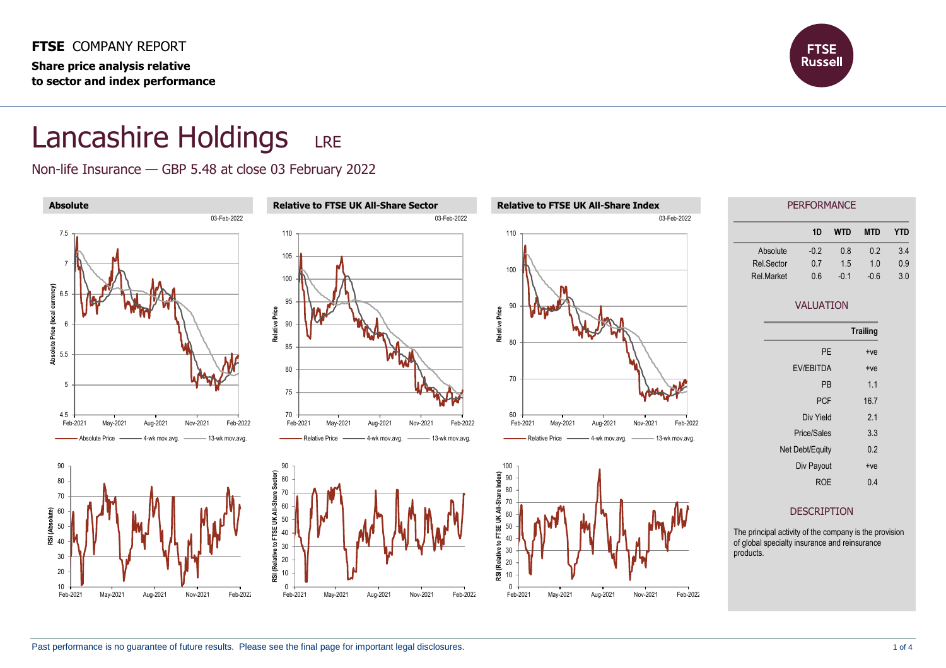**FTSE** COMPANY REPORT **Share price analysis relative to sector and index performance**



## Lancashire Holdings LRE

Non-life Insurance — GBP 5.48 at close 03 February 2022

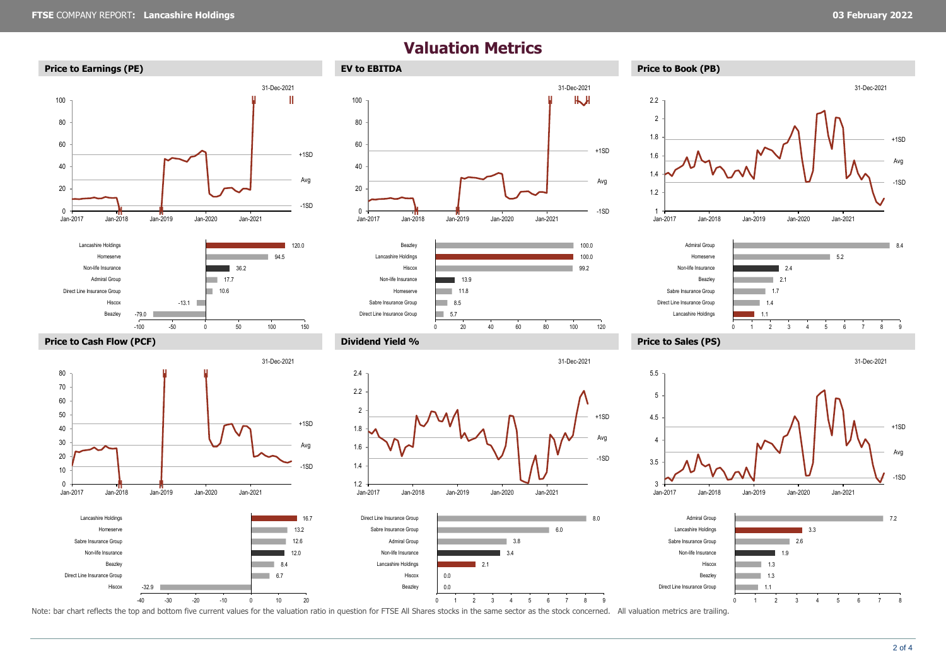



-100 -50 0 50 100 150

-40 -30 -20 -10 0 10 20

**‖ ‖**

 $Jan-2019$ 

-32.9

Hiscox

Beazley Non-life Insurance Sabre Insurance Group Homeserve Lancashire Holdings

Direct Line Insurance Group

Jan-2017 Jan-2018 Jan-2019 Jan-2020 Jan-2021

















Note: bar chart reflects the top and bottom five current values for the valuation ratio in question for FTSE All Shares stocks in the same sector as the stock concerned. All valuation metrics are trailing.

-1SD

+1SD Avg

31-Dec-2021

6.7 8.4

**COLLEGE** 

12.0 12.6 13.2 16.7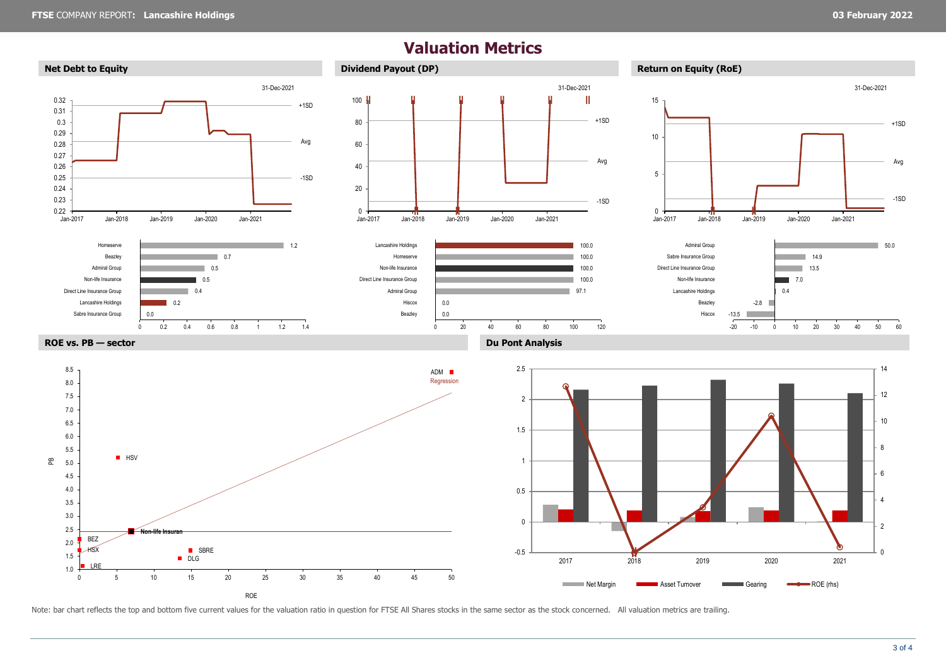-1SD

Avg

+1SD

## **Valuation Metrics Net Debt to Equity Dividend Payout** (DP) **Return on Equity (RoE) Return on Equity (RoE)** -1SD +1SD Avg  $0.22$   $\frac{1}{\sqrt{2}}$  Jan-2017 0.23 0.24 0.25 0.26 0.27 0.28 0.29 0.3 0.31 0.32 Jan-2017 Jan-2018 Jan-2019 Jan-2020 Jan-2021 31-Dec-2021 -1SD +1SD Avg **‖ ‖ ‖ ‖** Jan-2017 Jan-2018 Jan-2019 Jan-2020 Jan-2021 **‖ ‖ ‖ ‖** 0 20 40 60 80 100 H 31-Dec-2021 <sup>0</sup> **‖ ‖** 5 10 15 Jan-2017 Jan-2018 Jan-2019 Jan-2020 Jan-2021 31-Dec-2021 0.0 0.2  $0.4$  $0.5$ 0.5 0.7  $1.2$ 0 0.2 0.4 0.6 0.8 1 1.2 1.4 Sabre Insurance Group Lancashire Holdings Direct Line Insurance Group Non-life Insurance Admiral Group Beazley Homeserve 0.0 0.0 97.1 100.0 100.0 100.0 100.0 0 20 40 60 80 100 120 Beazley Hiscox Admiral Group Direct Line Insurance Group Non-life Insurance Homeserve Lancashire Holdings -13.5 -2.8 0.4  $70$ 13.5 14.9 50.0 -20 -10 0 10 20 30 40 50 60 Hiscox Beazley Lancashire Holdings Non-life Insurance Direct Line Insurance Group Sabre Insurance Group Admiral Group **ROE vs. PB — sector Du Pont Analysis** Regression HSX BEZ LRE **HSV Ion-life Insura** DLG **B** SBRE ADM ■ 1.0 1.5 2.0 2.5 3.0 3.5 4.0 4.5 5.0 5.5 6.0 6.5 7.0 7.5 8.0 8.5  $\mathbf{E}$ **a** 0000 **a** 0000 **a** 0000 **d** 2 4 6 8 10 12 14 -0.5 0 0.5 1 1.5 2 2.5 2017 2018 2019 2020 2021

Note: bar chart reflects the top and bottom five current values for the valuation ratio in question for FTSE All Shares stocks in the same sector as the stock concerned. All valuation metrics are trailing.

0 5 10 15 20 25 30 35 40 45 50

ROE

Net Margin **Community** Asset Turnover **Examined Gearing Community ROE** (rhs)